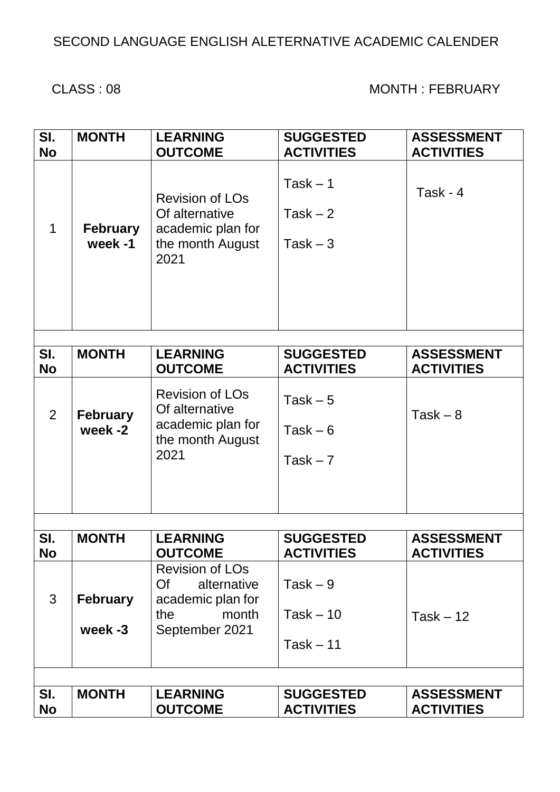## SECOND LANGUAGE ENGLISH ALETERNATIVE ACADEMIC CALENDER

#### CLASS : 08 MONTH : FEBRUARY

| SI.<br><b>No</b> | <b>MONTH</b>               | <b>LEARNING</b><br><b>OUTCOME</b>                                                                  | <b>SUGGESTED</b><br><b>ACTIVITIES</b>    | <b>ASSESSMENT</b><br><b>ACTIVITIES</b> |
|------------------|----------------------------|----------------------------------------------------------------------------------------------------|------------------------------------------|----------------------------------------|
| 1                | <b>February</b><br>week-1  | <b>Revision of LOs</b><br>Of alternative<br>academic plan for<br>the month August<br>2021          | $Task - 1$<br>Task $-2$<br>$Task - 3$    | Task - 4                               |
| SI.              | <b>MONTH</b>               | <b>LEARNING</b>                                                                                    | <b>SUGGESTED</b>                         | <b>ASSESSMENT</b>                      |
| <b>No</b>        |                            | <b>OUTCOME</b>                                                                                     | <b>ACTIVITIES</b>                        | <b>ACTIVITIES</b>                      |
| 2                | <b>February</b><br>week -2 | <b>Revision of LOs</b><br>Of alternative<br>academic plan for<br>the month August<br>2021          | Task $-5$<br>Task $-6$<br>Task $-7$      | $Task - 8$                             |
| SI.              | <b>MONTH</b>               | <b>LEARNING</b>                                                                                    | <b>SUGGESTED</b>                         | <b>ASSESSMENT</b>                      |
| No               |                            | <b>OUTCOME</b>                                                                                     | <b>ACTIVITIES</b>                        | <b>ACTIVITIES</b>                      |
| 3                | <b>February</b><br>week -3 | <b>Revision of LOs</b><br>Of<br>alternative<br>academic plan for<br>the<br>month<br>September 2021 | $Task - 9$<br>$Task - 10$<br>$Task - 11$ | Task $-12$                             |
|                  |                            |                                                                                                    |                                          |                                        |
| SI.<br><b>No</b> | <b>MONTH</b>               | <b>LEARNING</b><br><b>OUTCOME</b>                                                                  | <b>SUGGESTED</b><br><b>ACTIVITIES</b>    | <b>ASSESSMENT</b><br><b>ACTIVITIES</b> |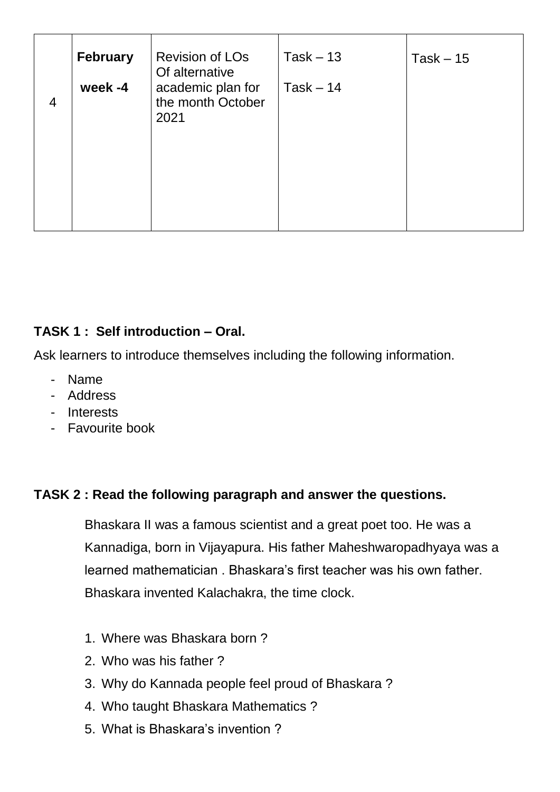| 4 | <b>February</b><br>week-4 | <b>Revision of LOs</b><br>Of alternative<br>academic plan for<br>the month October<br>2021 | $Task - 13$<br>$Task - 14$ | $Task - 15$ |
|---|---------------------------|--------------------------------------------------------------------------------------------|----------------------------|-------------|
|   |                           |                                                                                            |                            |             |

### **TASK 1 : Self introduction – Oral.**

Ask learners to introduce themselves including the following information.

- Name
- Address
- Interests
- Favourite book

#### **TASK 2 : Read the following paragraph and answer the questions.**

Bhaskara II was a famous scientist and a great poet too. He was a Kannadiga, born in Vijayapura. His father Maheshwaropadhyaya was a learned mathematician . Bhaskara's first teacher was his own father. Bhaskara invented Kalachakra, the time clock.

- 1. Where was Bhaskara born ?
- 2. Who was his father ?
- 3. Why do Kannada people feel proud of Bhaskara ?
- 4. Who taught Bhaskara Mathematics ?
- 5. What is Bhaskara's invention ?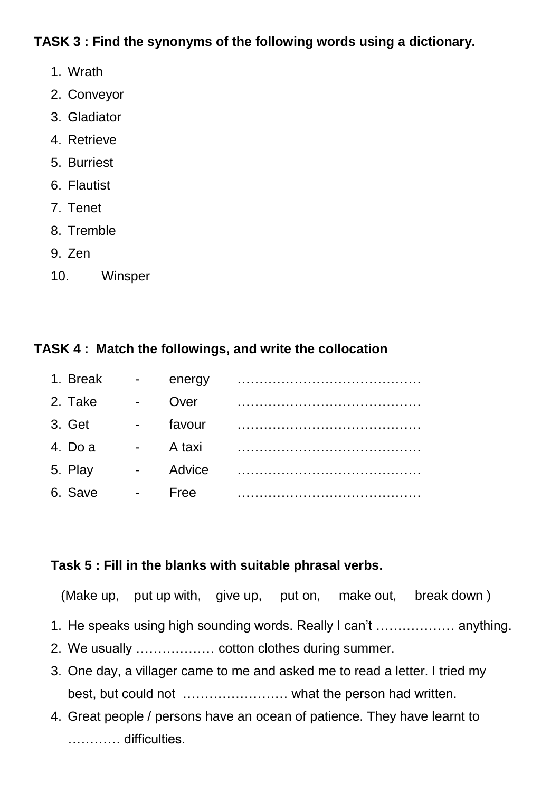#### **TASK 3 : Find the synonyms of the following words using a dictionary.**

- 1. Wrath
- 2. Conveyor
- 3. Gladiator
- 4. Retrieve
- 5. Burriest
- 6. Flautist
- 7. Tenet
- 8. Tremble
- 9. Zen
- 10. Winsper

## **TASK 4 : Match the followings, and write the collocation**

| 1. Break | $\blacksquare$              | energy |  |
|----------|-----------------------------|--------|--|
| 2. Take  | $\mathcal{L}^{\text{max}}$  | Over   |  |
| 3. Get   | $\blacksquare$              | favour |  |
| 4. Do a  | $\omega_{\rm{max}}$         | A taxi |  |
| 5. Play  | $\mathcal{L}_{\mathcal{A}}$ | Advice |  |
| 6. Save  | $\sim 10^{-1}$              | Free   |  |

## **Task 5 : Fill in the blanks with suitable phrasal verbs.**

(Make up, put up with, give up, put on, make out, break down )

- 1. He speaks using high sounding words. Really I can't ……………… anything.
- 2. We usually ……………… cotton clothes during summer.
- 3. One day, a villager came to me and asked me to read a letter. I tried my best, but could not …………………… what the person had written.
- 4. Great people / persons have an ocean of patience. They have learnt to ………… difficulties.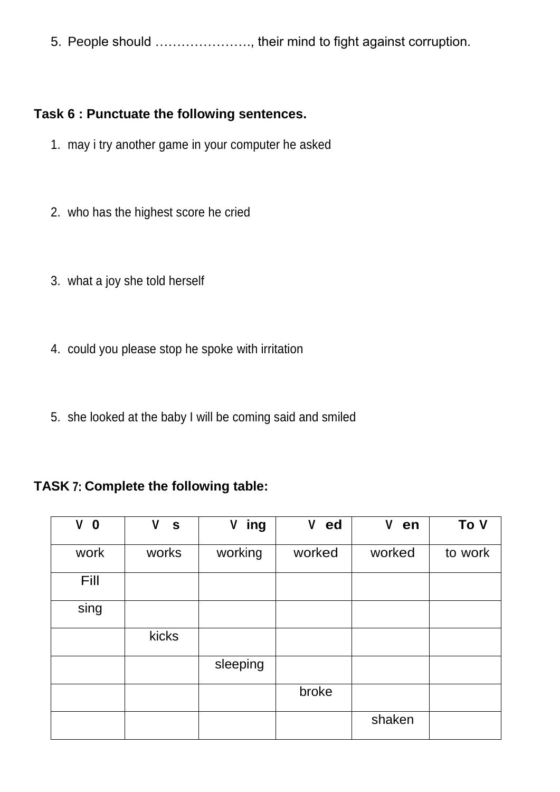5. People should …………………., their mind to fight against corruption.

#### **Task 6 : Punctuate the following sentences.**

- 1. may i try another game in your computer he asked
- 2. who has the highest score he cried
- 3. what a joy she told herself
- 4. could you please stop he spoke with irritation
- 5. she looked at the baby I will be coming said and smiled

#### **TASK 7: Complete the following table:**

| V<br>$\mathbf 0$ | V<br>$\mathbf{s}$ | ing<br>۷ | V<br>ed | V<br>en | To V    |
|------------------|-------------------|----------|---------|---------|---------|
| work             | works             | working  | worked  | worked  | to work |
| Fill             |                   |          |         |         |         |
| sing             |                   |          |         |         |         |
|                  | kicks             |          |         |         |         |
|                  |                   | sleeping |         |         |         |
|                  |                   |          | broke   |         |         |
|                  |                   |          |         | shaken  |         |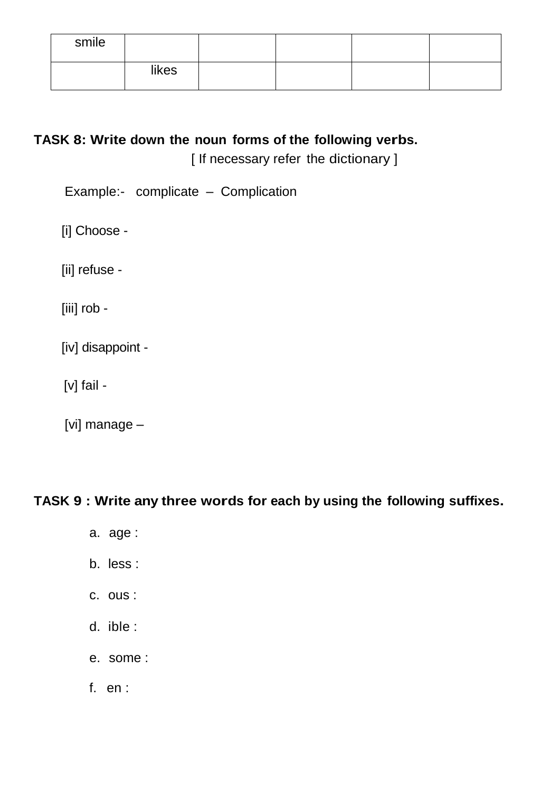| smile |       |  |  |
|-------|-------|--|--|
|       | likes |  |  |

## **TASK 8: Write down the noun forms of the following verbs.**

[ If necessary refer the dictionary ]

Example:- complicate – Complication

[i] Choose -

[ii] refuse -

[iii] rob -

[iv] disappoint -

[v] fail -

[vi] manage –

## **TASK 9 : Write any three words for each by using the following suffixes.**

- a. age :
- b. less :
- c. ous :
- d. ible :
- e. some :
- f. en :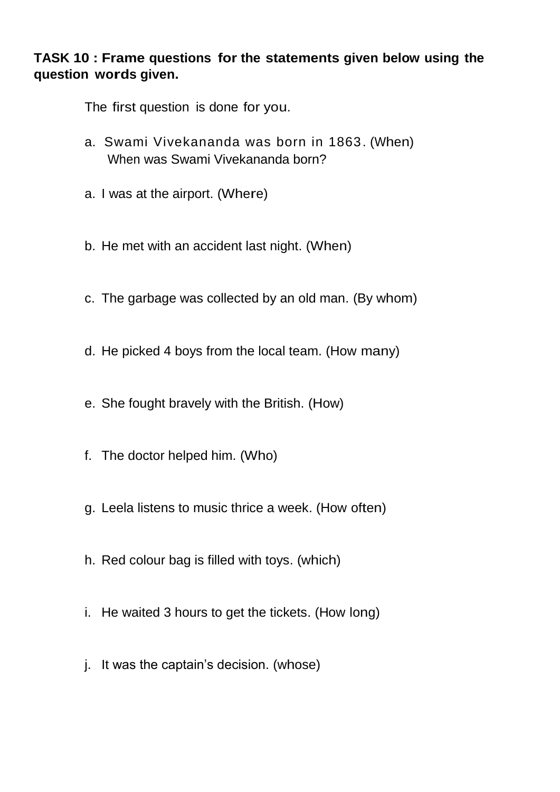#### **TASK 10 : Frame questions for the statements given below using the question words given.**

The first question is done for you.

- a. Swami Vivekananda was born in 1863. (When) When was Swami Vivekananda born?
- a. I was at the airport. (Where)
- b. He met with an accident last night. (When)
- c. The garbage was collected by an old man. (By whom)
- d. He picked 4 boys from the local team. (How many)
- e. She fought bravely with the British. (How)
- f. The doctor helped him. (Who)
- g. Leela listens to music thrice a week. (How often)
- h. Red colour bag is filled with toys. (which)
- i. He waited 3 hours to get the tickets. (How long)
- j. It was the captain's decision. (whose)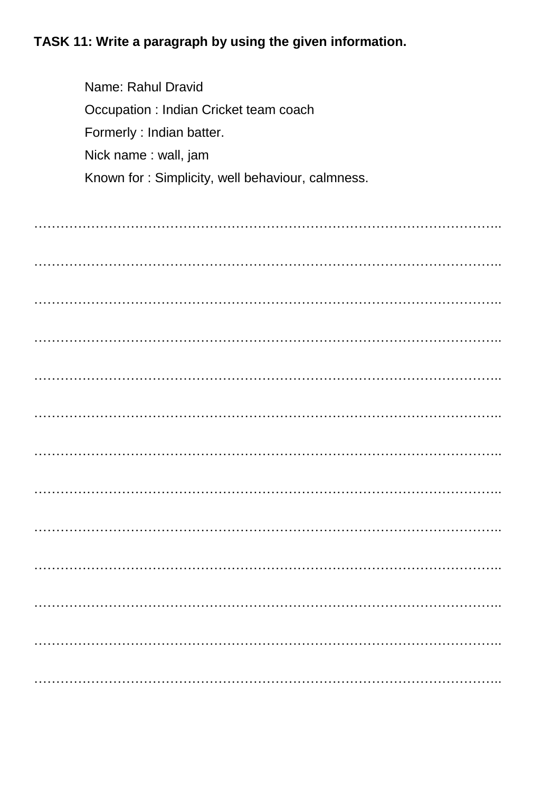# TASK 11: Write a paragraph by using the given information.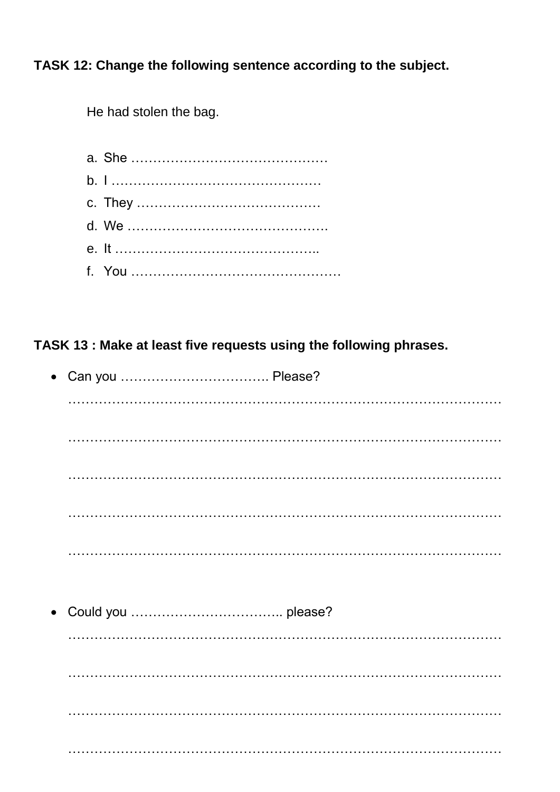TASK 12: Change the following sentence according to the subject.

He had stolen the bag.

## TASK 13 : Make at least five requests using the following phrases.

| $\bullet$ |  |
|-----------|--|
|           |  |
|           |  |
|           |  |
|           |  |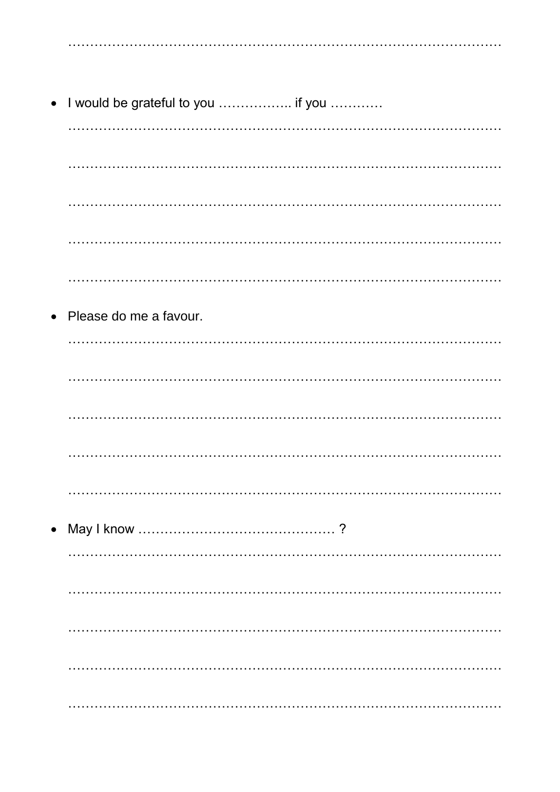• I would be grateful to you ................. if you ............ Please do me a favour.